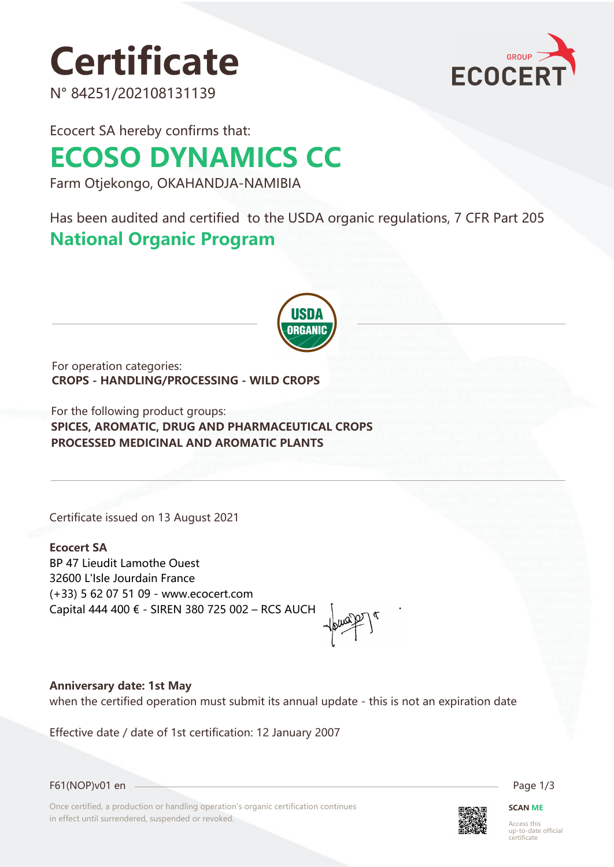# **Certificate**

N° 84251/202108131139



Ecocert SA hereby confirms that:

## **ECOSO DYNAMICS CC**

Farm Otjekongo, OKAHANDJA-NAMIBIA

Has been audited and certified to the USDA organic regulations, 7 CFR Part 205 **National Organic Program** 



For operation categories: **CROPS - HANDLING/PROCESSING - WILD CROPS**

For the following product groups: **SPICES, AROMATIC, DRUG AND PHARMACEUTICAL CROPS PROCESSED MEDICINAL AND AROMATIC PLANTS**

Certificate issued on 13 August 2021

**Ecocert SA** BP 47 Lieudit Lamothe Ouest 32600 L'Isle Jourdain France (+33) 5 62 07 51 09 - www.ecocert.com Capital 444 400 € - SIREN 380 725 002 – RCS AUCH

**Anniversary date: 1st May**

when the certified operation must submit its annual update - this is not an expiration date

Effective date / date of 1st certification: 12 January 2007

F61(NOP)v01 en Page 1/3

Once certified, a production or handling operation's organic certification continues in effect until surrendered, suspended or revoked.



**SCAN ME**

Access this up-to-date official ertificate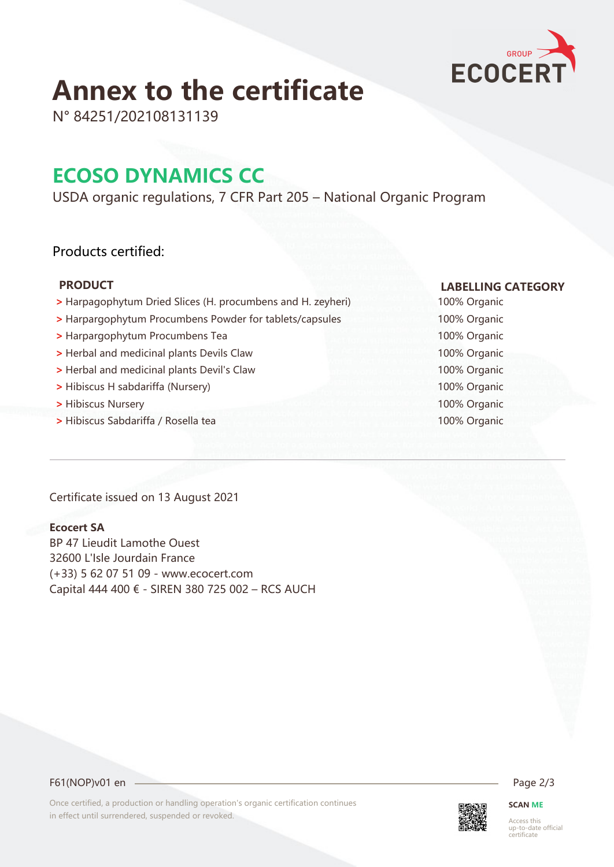

### **Annex to the certificate**

N° 84251/202108131139

### **ECOSO DYNAMICS CC**

USDA organic regulations, 7 CFR Part 205 – National Organic Program

#### Products certified:

- **>** Harpagophytum Dried Slices (H. procumbens and H. zeyheri) 100% Organic
- **>** Harpargophytum Procumbens Powder for tablets/capsules 100% Organic
- **>** Harpargophytum Procumbens Tea 100% Organic
- **>** Herbal and medicinal plants Devils Claw 100% Organic
- **>** Herbal and medicinal plants Devil's Claw 100% Organic
- **>** Hibiscus H sabdariffa (Nursery) 100% Organic
- **>** Hibiscus Nursery 100% Organic
- **>** Hibiscus Sabdariffa / Rosella tea 100% Organic

Certificate issued on 13 August 2021

#### **Ecocert SA**

BP 47 Lieudit Lamothe Ouest 32600 L'Isle Jourdain France (+33) 5 62 07 51 09 - www.ecocert.com Capital 444 400 € - SIREN 380 725 002 – RCS AUCH

#### **PRODUCT LABELLING CATEGORY**

F61(NOP)v01 en 2/3

Once certified, a production or handling operation's organic certification continues in effect until surrendered, suspended or revoked.



### **SCAN ME**

Access this up-to-date official certificate